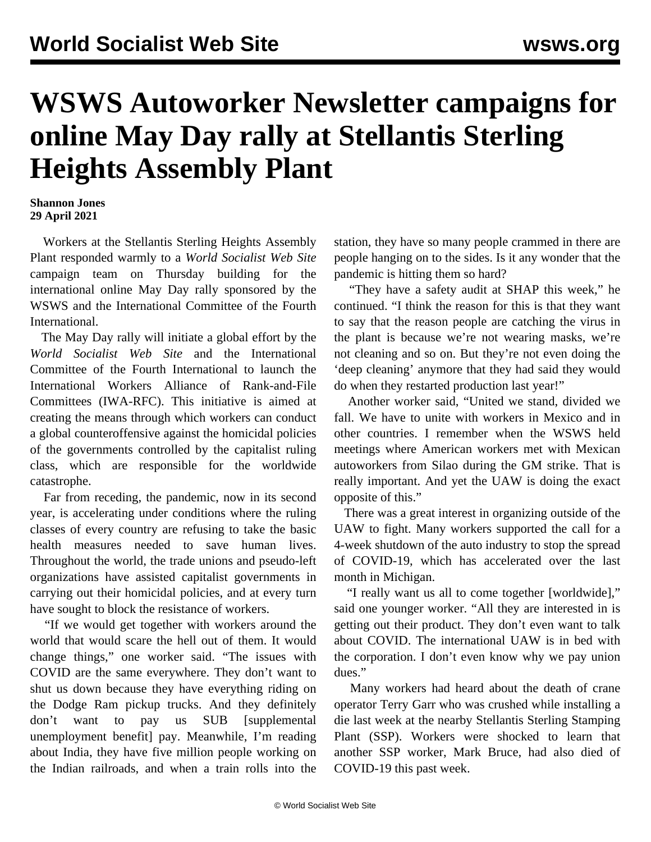## **WSWS Autoworker Newsletter campaigns for online May Day rally at Stellantis Sterling Heights Assembly Plant**

## **Shannon Jones 29 April 2021**

 Workers at the Stellantis Sterling Heights Assembly Plant responded warmly to a *World Socialist Web Site* campaign team on Thursday building for the international [online May Day rally](/en/special/pages/international-mayday-online-rally-2021.html) sponsored by the WSWS and the International Committee of the Fourth International.

 The May Day rally will initiate a global effort by the *World Socialist Web Site* and the International Committee of the Fourth International to launch the International Workers Alliance of Rank-and-File Committees (IWA-RFC). This initiative is aimed at creating the means through which workers can conduct a global counteroffensive against the homicidal policies of the governments controlled by the capitalist ruling class, which are responsible for the worldwide catastrophe.

 Far from receding, the pandemic, now in its second year, is accelerating under conditions where the ruling classes of every country are refusing to take the basic health measures needed to save human lives. Throughout the world, the trade unions and pseudo-left organizations have assisted capitalist governments in carrying out their homicidal policies, and at every turn have sought to block the resistance of workers.

 "If we would get together with workers around the world that would scare the hell out of them. It would change things," one worker said. "The issues with COVID are the same everywhere. They don't want to shut us down because they have everything riding on the Dodge Ram pickup trucks. And they definitely don't want to pay us SUB [supplemental unemployment benefit] pay. Meanwhile, I'm reading about India, they have five million people working on the Indian railroads, and when a train rolls into the

station, they have so many people crammed in there are people hanging on to the sides. Is it any wonder that the pandemic is hitting them so hard?

 "They have a safety audit at SHAP this week," he continued. "I think the reason for this is that they want to say that the reason people are catching the virus in the plant is because we're not wearing masks, we're not cleaning and so on. But they're not even doing the 'deep cleaning' anymore that they had said they would do when they restarted production last year!"

 Another worker said, "United we stand, divided we fall. We have to unite with workers in Mexico and in other countries. I remember when the WSWS held meetings where American workers met with Mexican autoworkers from Silao during the GM strike. That is really important. And yet the UAW is doing the exact opposite of this."

 There was a great interest in organizing outside of the UAW to fight. Many workers supported the call for a 4-week shutdown of the auto industry to stop the spread of COVID-19, which has accelerated over the last month in Michigan.

 "I really want us all to come together [worldwide]," said one younger worker. "All they are interested in is getting out their product. They don't even want to talk about COVID. The international UAW is in bed with the corporation. I don't even know why we pay union dues."

 Many workers had heard about the death of crane operator [Terry Garr](/en/articles/2021/04/29/ssp-a29.html) who was crushed while installing a die last week at the nearby Stellantis Sterling Stamping Plant (SSP). Workers were shocked to learn that another SSP worker, [Mark Bruce,](/en/articles/2021/04/28/ssp-a28.html) had also died of COVID-19 this past week.